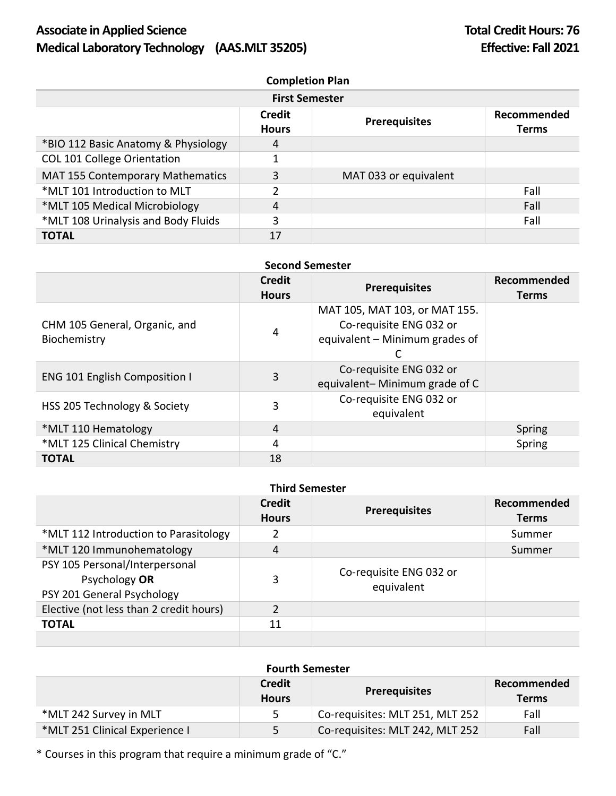# Associate in Applied Science **Total Credit Hours: 76 Total Credit Hours: 76 Medical Laboratory Technology** (AAS.MLT 35205) **Effective: Fall 2021**

| <b>Completion Plan</b>                  |                        |                       |                             |  |
|-----------------------------------------|------------------------|-----------------------|-----------------------------|--|
| <b>First Semester</b>                   |                        |                       |                             |  |
|                                         | Credit<br><b>Hours</b> | <b>Prerequisites</b>  | Recommended<br><b>Terms</b> |  |
| *BIO 112 Basic Anatomy & Physiology     | 4                      |                       |                             |  |
| <b>COL 101 College Orientation</b>      |                        |                       |                             |  |
| <b>MAT 155 Contemporary Mathematics</b> | 3                      | MAT 033 or equivalent |                             |  |
| *MLT 101 Introduction to MLT            |                        |                       | Fall                        |  |
| *MLT 105 Medical Microbiology           | 4                      |                       | Fall                        |  |
| *MLT 108 Urinalysis and Body Fluids     | 3                      |                       | Fall                        |  |
| <b>TOTAL</b>                            | 17                     |                       |                             |  |

| <b>Second Semester</b>                        |                        |                                                                                            |                      |  |
|-----------------------------------------------|------------------------|--------------------------------------------------------------------------------------------|----------------------|--|
|                                               | Credit<br><b>Hours</b> | <b>Prerequisites</b>                                                                       | Recommended<br>Terms |  |
| CHM 105 General, Organic, and<br>Biochemistry | 4                      | MAT 105, MAT 103, or MAT 155.<br>Co-requisite ENG 032 or<br>equivalent - Minimum grades of |                      |  |
| <b>ENG 101 English Composition I</b>          | 3                      | Co-requisite ENG 032 or<br>equivalent-Minimum grade of C                                   |                      |  |
| HSS 205 Technology & Society                  | 3                      | Co-requisite ENG 032 or<br>equivalent                                                      |                      |  |
| *MLT 110 Hematology                           | 4                      |                                                                                            | Spring               |  |
| *MLT 125 Clinical Chemistry                   | 4                      |                                                                                            | Spring               |  |
| <b>TOTAL</b>                                  | 18                     |                                                                                            |                      |  |

## **Third Semester**

|                                                                               | <b>Credit</b><br><b>Hours</b> | <b>Prerequisites</b>                  | Recommended<br><b>Terms</b> |
|-------------------------------------------------------------------------------|-------------------------------|---------------------------------------|-----------------------------|
| *MLT 112 Introduction to Parasitology                                         |                               |                                       | Summer                      |
| *MLT 120 Immunohematology                                                     | 4                             |                                       | Summer                      |
| PSY 105 Personal/Interpersonal<br>Psychology OR<br>PSY 201 General Psychology | 3                             | Co-requisite ENG 032 or<br>equivalent |                             |
| Elective (not less than 2 credit hours)                                       | $\mathcal{P}$                 |                                       |                             |
| <b>TOTAL</b>                                                                  | 11                            |                                       |                             |

### **Fourth Semester**

|                                | <b>Credit</b><br><b>Hours</b> | <b>Prerequisites</b>            | Recommended<br><b>Terms</b> |
|--------------------------------|-------------------------------|---------------------------------|-----------------------------|
| *MLT 242 Survey in MLT         |                               | Co-requisites: MLT 251, MLT 252 | Fall                        |
| *MLT 251 Clinical Experience I | 5.                            | Co-requisites: MLT 242, MLT 252 | Fall                        |

\* Courses in this program that require a minimum grade of "C."